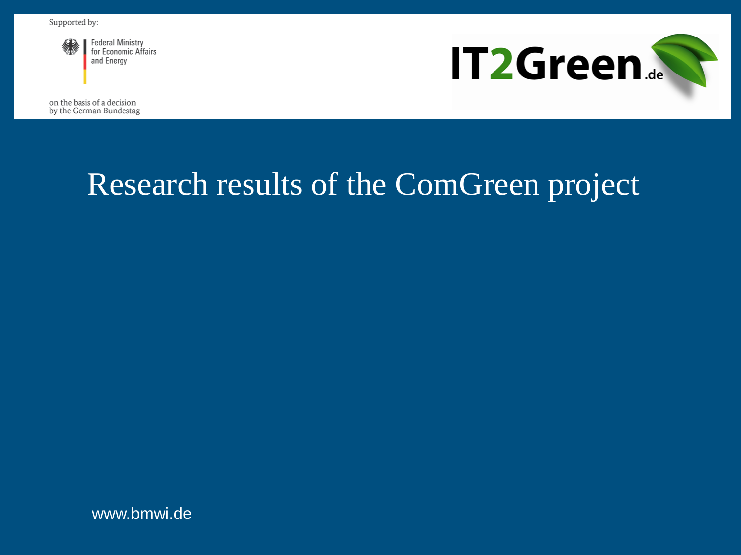

**Federal Ministry** for Economic Affairs and Energy

**IT2Green.** 

on the basis of a decision by the German Bundestag

# Research results of the ComGreen project

www.bmwi.de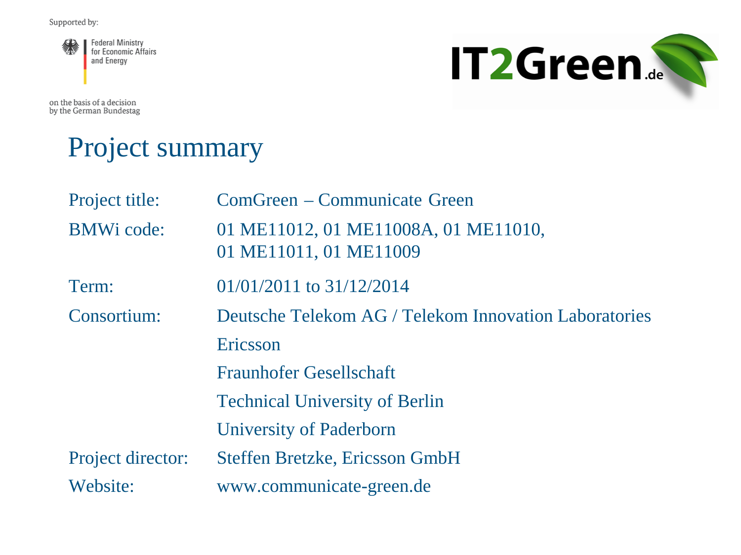

on the basis of a decision by the German Bundestag



#### Project summary

| Project title:    | ComGreen – Communicate Green                                   |
|-------------------|----------------------------------------------------------------|
| <b>BMWi</b> code: | 01 ME11012, 01 ME11008A, 01 ME11010,<br>01 ME11011, 01 ME11009 |
| Term:             | $01/01/2011$ to $31/12/2014$                                   |
| Consortium:       | Deutsche Telekom AG / Telekom Innovation Laboratories          |
|                   | Ericsson                                                       |
|                   | <b>Fraunhofer Gesellschaft</b>                                 |
|                   | <b>Technical University of Berlin</b>                          |
|                   | University of Paderborn                                        |
| Project director: | <b>Steffen Bretzke, Ericsson GmbH</b>                          |
| Website:          | www.communicate-green.de                                       |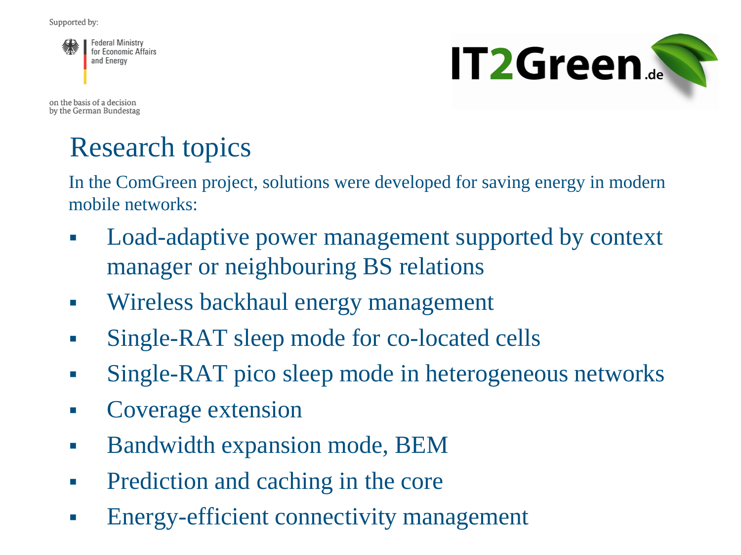

**IT2Green...** 

on the basis of a decision by the German Bundestag

# Research topics

In the ComGreen project, solutions were developed for saving energy in modern mobile networks:

- Load-adaptive power management supported by context manager or neighbouring BS relations
- Wireless backhaul energy management
- Single-RAT sleep mode for co-located cells
- Single-RAT pico sleep mode in heterogeneous networks
- Coverage extension
- **Bandwidth expansion mode, BEM**
- Prediction and caching in the core
- Energy-efficient connectivity management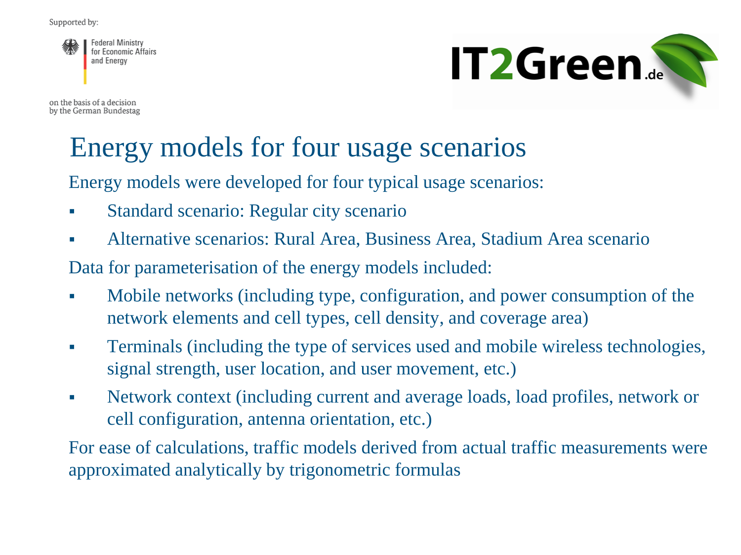**Federal Ministry** for Economic Affairs and Energy

on the basis of a decision by the German Bundestag



# Energy models for four usage scenarios

Energy models were developed for four typical usage scenarios:

- Standard scenario: Regular city scenario
- Alternative scenarios: Rural Area, Business Area, Stadium Area scenario

Data for parameterisation of the energy models included:

- Mobile networks (including type, configuration, and power consumption of the network elements and cell types, cell density, and coverage area)
- Terminals (including the type of services used and mobile wireless technologies, signal strength, user location, and user movement, etc.)
- Network context (including current and average loads, load profiles, network or cell configuration, antenna orientation, etc.)

For ease of calculations, traffic models derived from actual traffic measurements were approximated analytically by trigonometric formulas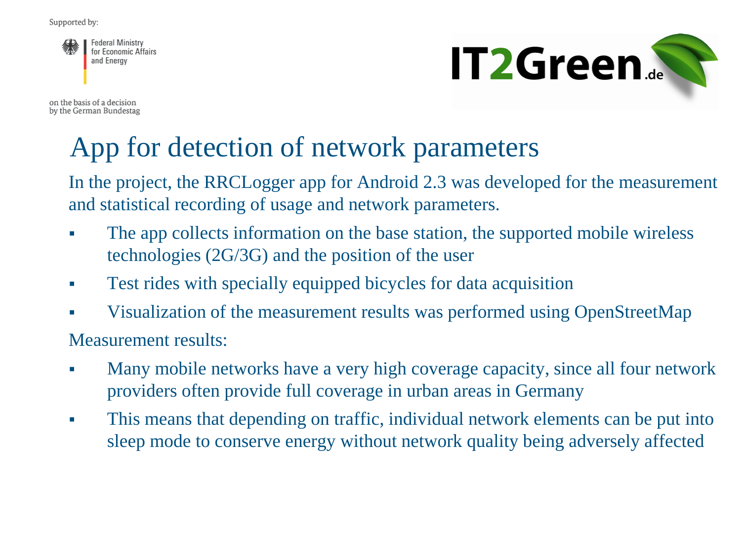**Federal Ministry** for Economic Affairs and Energy

on the basis of a decision by the German Bundestag



## App for detection of network parameters

In the project, the RRCLogger app for Android 2.3 was developed for the measurement and statistical recording of usage and network parameters.

- The app collects information on the base station, the supported mobile wireless technologies (2G/3G) and the position of the user
- Test rides with specially equipped bicycles for data acquisition
- Visualization of the measurement results was performed using OpenStreetMap

Measurement results:

- Many mobile networks have a very high coverage capacity, since all four network providers often provide full coverage in urban areas in Germany
- This means that depending on traffic, individual network elements can be put into sleep mode to conserve energy without network quality being adversely affected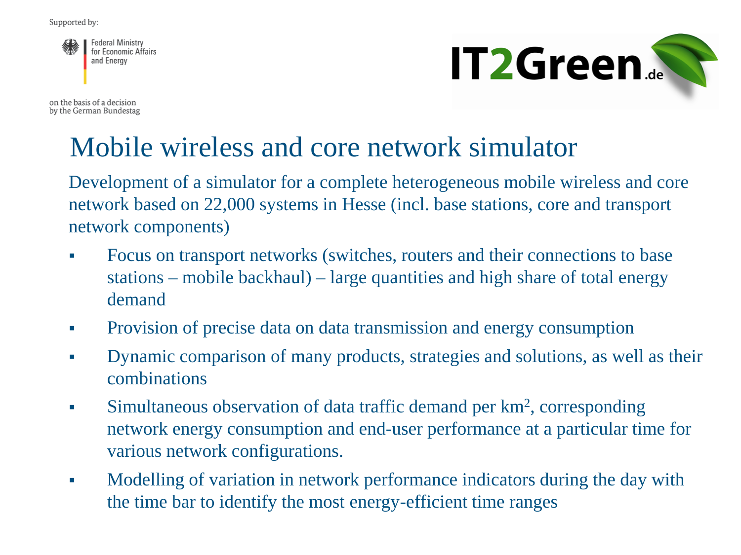**Federal Ministry** for Economic Affairs and Energy

on the basis of a decision by the German Bundestag



#### Mobile wireless and core network simulator

Development of a simulator for a complete heterogeneous mobile wireless and core network based on 22,000 systems in Hesse (incl. base stations, core and transport network components)

- Focus on transport networks (switches, routers and their connections to base stations – mobile backhaul) – large quantities and high share of total energy demand
- Provision of precise data on data transmission and energy consumption
- Dynamic comparison of many products, strategies and solutions, as well as their combinations
- Simultaneous observation of data traffic demand per  $km^2$ , corresponding network energy consumption and end-user performance at a particular time for various network configurations.
- Modelling of variation in network performance indicators during the day with the time bar to identify the most energy-efficient time ranges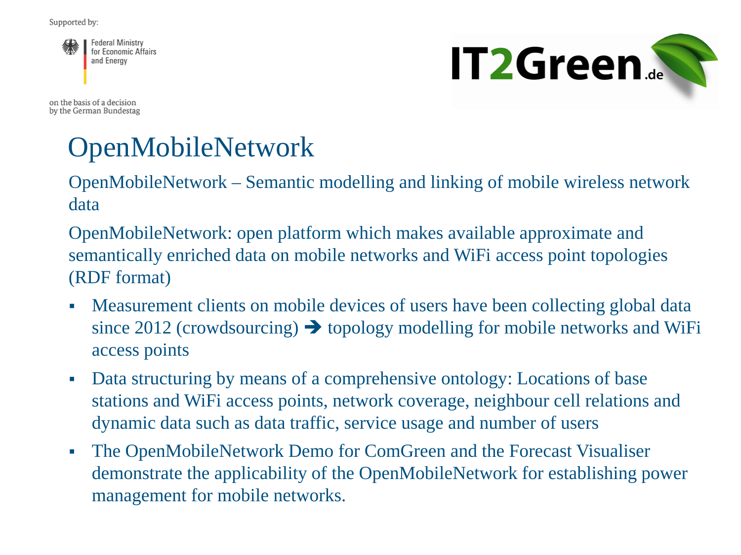

on the basis of a decision by the German Bundestag



# **OpenMobileNetwork**

OpenMobileNetwork – Semantic modelling and linking of mobile wireless network data

OpenMobileNetwork: open platform which makes available approximate and semantically enriched data on mobile networks and WiFi access point topologies (RDF format)

- Measurement clients on mobile devices of users have been collecting global data since 2012 (crowdsourcing)  $\rightarrow$  topology modelling for mobile networks and WiFi access points
- Data structuring by means of a comprehensive ontology: Locations of base stations and WiFi access points, network coverage, neighbour cell relations and dynamic data such as data traffic, service usage and number of users
- The OpenMobileNetwork Demo for ComGreen and the Forecast Visualiser demonstrate the applicability of the OpenMobileNetwork for establishing power management for mobile networks.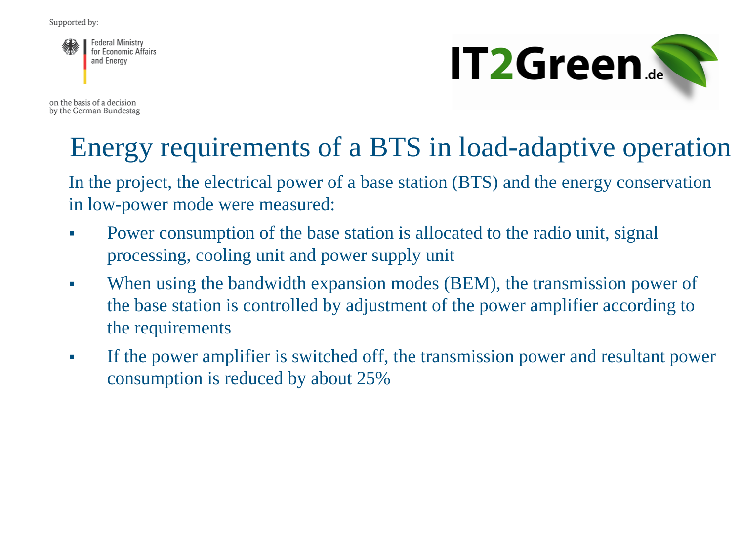**Federal Ministry** for Economic Affairs and Energy

on the basis of a decision by the German Bundestag



# Energy requirements of a BTS in load-adaptive operation

In the project, the electrical power of a base station (BTS) and the energy conservation in low-power mode were measured:

- Power consumption of the base station is allocated to the radio unit, signal processing, cooling unit and power supply unit
- When using the bandwidth expansion modes (BEM), the transmission power of the base station is controlled by adjustment of the power amplifier according to the requirements
- If the power amplifier is switched off, the transmission power and resultant power consumption is reduced by about 25%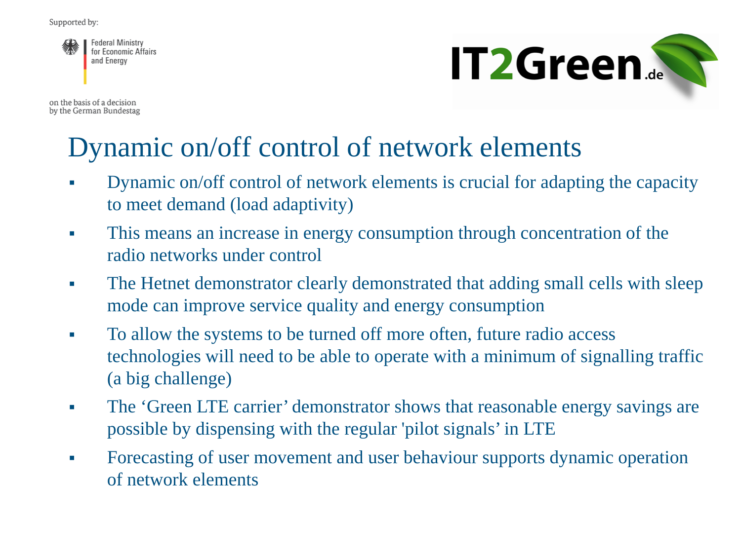**Federal Ministry** for Economic Affairs and Energy

on the basis of a decision by the German Bundestag



## Dynamic on/off control of network elements

- Dynamic on/off control of network elements is crucial for adapting the capacity to meet demand (load adaptivity)
- This means an increase in energy consumption through concentration of the radio networks under control
- The Hetnet demonstrator clearly demonstrated that adding small cells with sleep mode can improve service quality and energy consumption
- To allow the systems to be turned off more often, future radio access technologies will need to be able to operate with a minimum of signalling traffic (a big challenge)
- The 'Green LTE carrier' demonstrator shows that reasonable energy savings are possible by dispensing with the regular 'pilot signals' in LTE
- Forecasting of user movement and user behaviour supports dynamic operation of network elements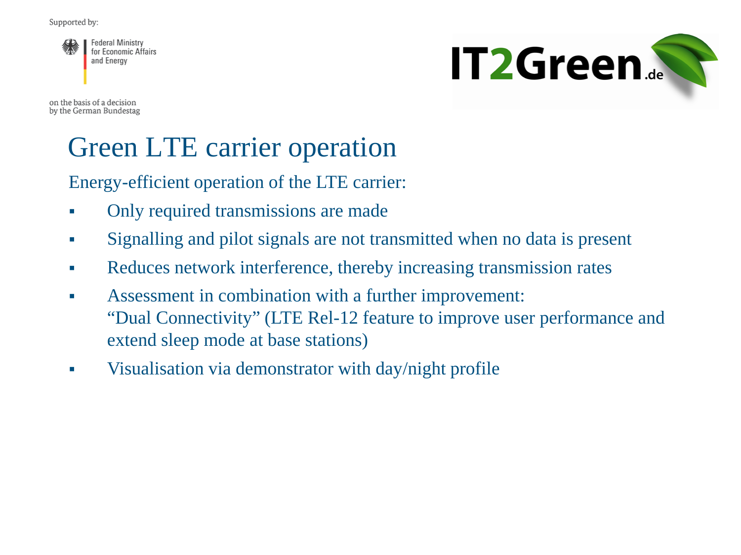**Federal Ministry** for Economic Affairs and Energy

on the basis of a decision by the German Bundestag



# Green LTE carrier operation

Energy-efficient operation of the LTE carrier:

- Only required transmissions are made
- Signalling and pilot signals are not transmitted when no data is present
- Reduces network interference, thereby increasing transmission rates
- Assessment in combination with a further improvement: "Dual Connectivity" (LTE Rel-12 feature to improve user performance and extend sleep mode at base stations)
- Visualisation via demonstrator with day/night profile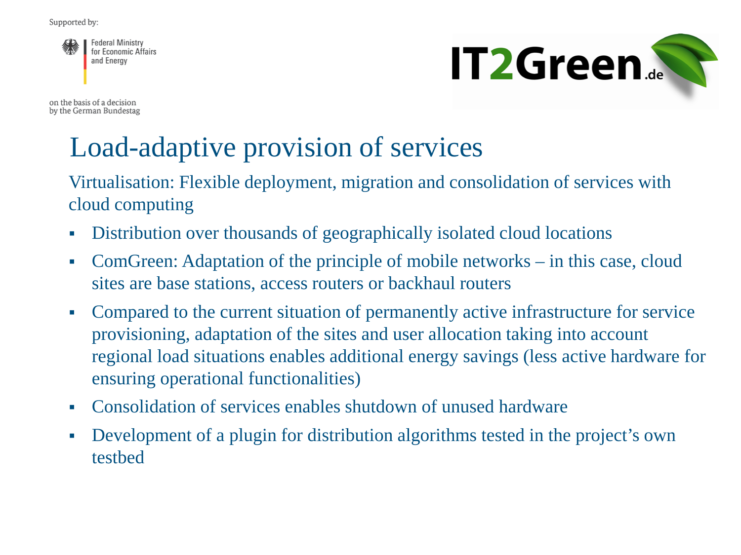

on the basis of a decision by the German Bundestag



# Load-adaptive provision of services

Virtualisation: Flexible deployment, migration and consolidation of services with cloud computing

- Distribution over thousands of geographically isolated cloud locations
- ComGreen: Adaptation of the principle of mobile networks in this case, cloud sites are base stations, access routers or backhaul routers
- Compared to the current situation of permanently active infrastructure for service provisioning, adaptation of the sites and user allocation taking into account regional load situations enables additional energy savings (less active hardware for ensuring operational functionalities)
- Consolidation of services enables shutdown of unused hardware
- Development of a plugin for distribution algorithms tested in the project's own testbed